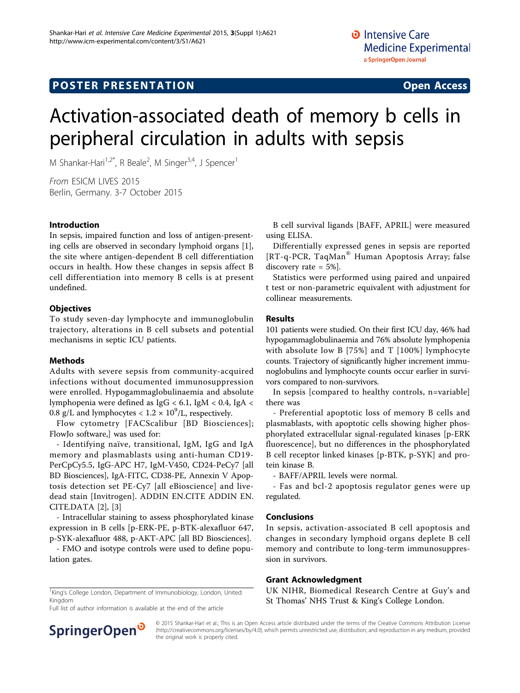# Activation-associated death of memory b cells in peripheral circulation in adults with sepsis

M Shankar-Hari<sup>1,2\*</sup>, R Beale<sup>2</sup>, M Singer<sup>3,4</sup>, J Spencer<sup>1</sup>

From ESICM LIVES 2015 Berlin, Germany. 3-7 October 2015

#### Introduction

In sepsis, impaired function and loss of antigen-presenting cells are observed in secondary lymphoid organs [\[1](#page-1-0)], the site where antigen-dependent B cell differentiation occurs in health. How these changes in sepsis affect B cell differentiation into memory B cells is at present undefined.

## **Objectives**

To study seven-day lymphocyte and immunoglobulin trajectory, alterations in B cell subsets and potential mechanisms in septic ICU patients.

## Methods

Adults with severe sepsis from community-acquired infections without documented immunosuppression were enrolled. Hypogammaglobulinaemia and absolute lymphopenia were defined as IgG < 6.1, IgM < 0.4, IgA < 0.8 g/L and lymphocytes  $< 1.2 \times 10^9$ /L, respectively.

Flow cytometry [FACScalibur [BD Biosciences]; FlowJo software,] was used for:

- Identifying naïve, transitional, IgM, IgG and IgA memory and plasmablasts using anti-human CD19- PerCpCy5.5, IgG-APC H7, IgM-V450, CD24-PeCy7 [all BD Biosciences], IgA-FITC, CD38-PE, Annexin V Apoptosis detection set PE-Cy7 [all eBioscience] and livedead stain [Invitrogen]. ADDIN EN.CITE ADDIN EN. CITE.DATA [[2](#page-1-0)], [\[3\]](#page-1-0)

- Intracellular staining to assess phosphorylated kinase expression in B cells [p-ERK-PE, p-BTK-alexafluor 647, p-SYK-alexafluor 488, p-AKT-APC [all BD Biosciences].

- FMO and isotype controls were used to define population gates.

B cell survival ligands [BAFF, APRIL] were measured using ELISA.

Differentially expressed genes in sepsis are reported [RT-q-PCR, TaqMan® Human Apoptosis Array; false discovery rate = 5%].

Statistics were performed using paired and unpaired t test or non-parametric equivalent with adjustment for collinear measurements.

#### Results

101 patients were studied. On their first ICU day, 46% had hypogammaglobulinaemia and 76% absolute lymphopenia with absolute low B [75%] and T [100%] lymphocyte counts. Trajectory of significantly higher increment immunoglobulins and lymphocyte counts occur earlier in survivors compared to non-survivors.

In sepsis [compared to healthy controls, n=variable] there was

- Preferential apoptotic loss of memory B cells and plasmablasts, with apoptotic cells showing higher phosphorylated extracellular signal-regulated kinases [p-ERK fluorescence], but no differences in the phosphorylated B cell receptor linked kinases [p-BTK, p-SYK] and protein kinase B.

- BAFF/APRIL levels were normal.

- Fas and bcl-2 apoptosis regulator genes were up regulated.

## Conclusions

In sepsis, activation-associated B cell apoptosis and changes in secondary lymphoid organs deplete B cell memory and contribute to long-term immunosuppression in survivors.

## Grant Acknowledgment

UK NIHR, Biomedical Research Centre at Guy's and St Thomas' NHS Trust & King's College London.

<sup>1</sup>King's College London, Department of Immunobiology, London, United Kingdom Full list of author information is available at the end of the article

SpringerOpen<sup>®</sup>

© 2015 Shankar-Hari et al.; This is an Open Access article distributed under the terms of the Creative Commons Attribution License [\(http://creativecommons.org/licenses/by/4.0](http://creativecommons.org/licenses/by/4.0)), which permits unrestricted use, distribution, and reproduction in any medium, provided the original work is properly cited.